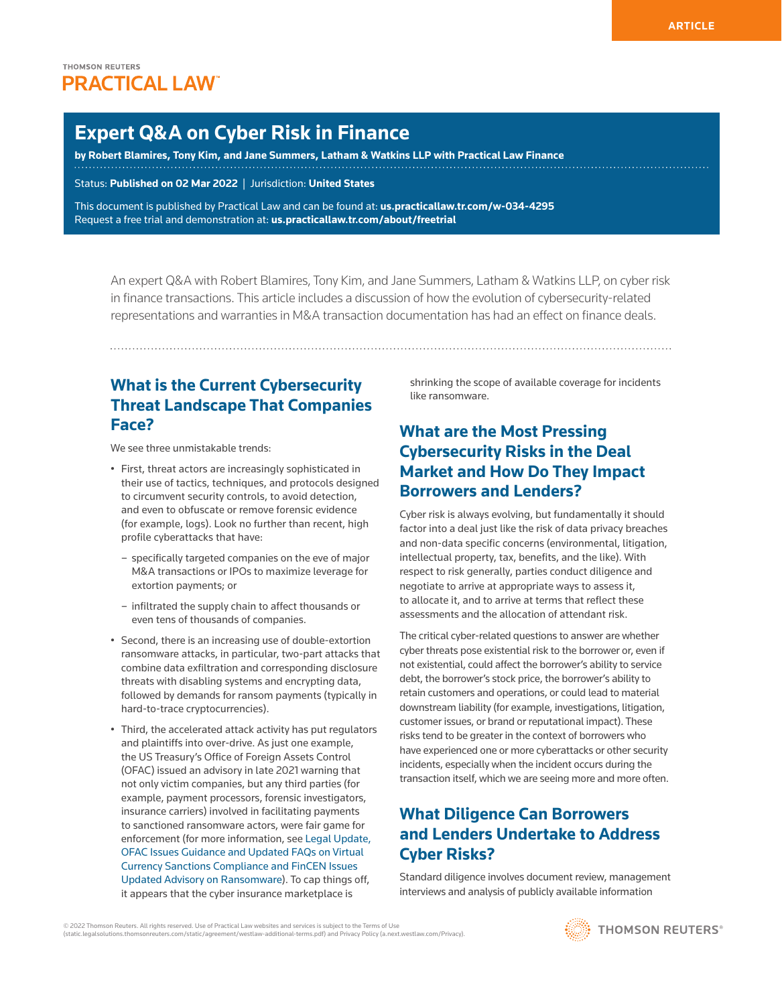# **Expert Q&A on Cyber Risk in Finance**

**by Robert Blamires, Tony Kim, and Jane Summers, Latham & Watkins LLP with Practical Law Finance**

Status: **Published on 02 Mar 2022** | Jurisdiction: **United States**

This document is published by Practical Law and can be found at[:](http://us.practicallaw.tr.com/W-028-4180) **[us.practicallaw.tr.com/w-034-4295](http://us.practicallaw.tr.com/w-034-4295)** Request a free trial and demonstration at: **[us.practicallaw.tr.com/about/freetrial](http://us.practicallaw.tr.com/about/freetrial)**

An expert Q&A with Robert Blamires, Tony Kim, and Jane Summers, Latham & Watkins LLP, on cyber risk in finance transactions. This article includes a discussion of how the evolution of cybersecurity-related representations and warranties in M&A transaction documentation has had an effect on finance deals.

# **What is the Current Cybersecurity Threat Landscape That Companies Face?**

We see three unmistakable trends:

- First, threat actors are increasingly sophisticated in their use of tactics, techniques, and protocols designed to circumvent security controls, to avoid detection, and even to obfuscate or remove forensic evidence (for example, logs). Look no further than recent, high profile cyberattacks that have:
	- specifically targeted companies on the eve of major M&A transactions or IPOs to maximize leverage for extortion payments; or
	- infiltrated the supply chain to affect thousands or even tens of thousands of companies.
- Second, there is an increasing use of double-extortion ransomware attacks, in particular, two-part attacks that combine data exfiltration and corresponding disclosure threats with disabling systems and encrypting data, followed by demands for ransom payments (typically in hard-to-trace cryptocurrencies).
- Third, the accelerated attack activity has put regulators and plaintiffs into over-drive. As just one example, the US Treasury's Office of Foreign Assets Control (OFAC) issued an advisory in late 2021 warning that not only victim companies, but any third parties (for example, payment processors, forensic investigators, insurance carriers) involved in facilitating payments to sanctioned ransomware actors, were fair game for enforcement (for more information, see [Legal Update,](http://us.practicallaw.tr.com/W-033-3675)  [OFAC Issues Guidance and Updated FAQs on Virtual](http://us.practicallaw.tr.com/W-033-3675)  [Currency Sanctions Compliance and FinCEN Issues](http://us.practicallaw.tr.com/W-033-3675)  [Updated Advisory on Ransomware](http://us.practicallaw.tr.com/W-033-3675)). To cap things off, it appears that the cyber insurance marketplace is

shrinking the scope of available coverage for incidents like ransomware.

# **What are the Most Pressing Cybersecurity Risks in the Deal Market and How Do They Impact Borrowers and Lenders?**

Cyber risk is always evolving, but fundamentally it should factor into a deal just like the risk of data privacy breaches and non-data specific concerns (environmental, litigation, intellectual property, tax, benefits, and the like). With respect to risk generally, parties conduct diligence and negotiate to arrive at appropriate ways to assess it, to allocate it, and to arrive at terms that reflect these assessments and the allocation of attendant risk.

The critical cyber-related questions to answer are whether cyber threats pose existential risk to the borrower or, even if not existential, could affect the borrower's ability to service debt, the borrower's stock price, the borrower's ability to retain customers and operations, or could lead to material downstream liability (for example, investigations, litigation, customer issues, or brand or reputational impact). These risks tend to be greater in the context of borrowers who have experienced one or more cyberattacks or other security incidents, especially when the incident occurs during the transaction itself, which we are seeing more and more often.

# **What Diligence Can Borrowers and Lenders Undertake to Address Cyber Risks?**

Standard diligence involves document review, management interviews and analysis of publicly available information



<sup>© 2022</sup> Thomson Reuters. All rights reserved. Use of Practical Law websites and services is subject to the Terms of Use (static.legalsolutions.thomsonreuters.com/static/agreement/westlaw-additional-terms.pdf) and Privacy Policy (a.next.westlaw.com/Privacy).